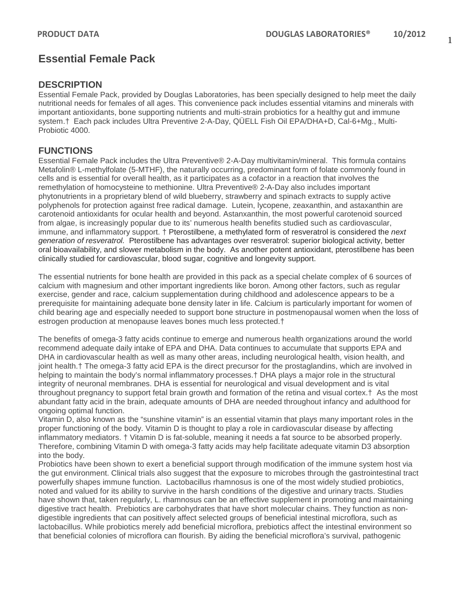# **Essential Female Pack**

## **DESCRIPTION**

Essential Female Pack, provided by Douglas Laboratories, has been specially designed to help meet the daily nutritional needs for females of all ages. This convenience pack includes essential vitamins and minerals with important antioxidants, bone supporting nutrients and multi-strain probiotics for a healthy gut and immune system.† Each pack includes Ultra Preventive 2-A-Day, QÜELL Fish Oil EPA/DHA+D, Cal-6+Mg., Multi-Probiotic 4000.

## **FUNCTIONS**

Essential Female Pack includes the Ultra Preventive® 2-A-Day multivitamin/mineral. This formula contains Metafolin® L-methylfolate (5-MTHF), the naturally occurring, predominant form of folate commonly found in cells and is essential for overall health, as it participates as a cofactor in a reaction that involves the remethylation of homocysteine to methionine. Ultra Preventive® 2-A-Day also includes important phytonutrients in a proprietary blend of wild blueberry, strawberry and spinach extracts to supply active polyphenols for protection against free radical damage. Lutein, lycopene, zeaxanthin, and astaxanthin are carotenoid antioxidants for ocular health and beyond. Astanxanthin, the most powerful carotenoid sourced from algae, is increasingly popular due to its' numerous health benefits studied such as cardiovascular, immune, and inflammatory support. † Pterostilbene, a methylated form of resveratrol is considered the *next generation of resveratrol.* Pterostilbene has advantages over resveratrol: superior biological activity, better oral bioavailability, and slower metabolism in the body. As another potent antioxidant, pterostilbene has been clinically studied for cardiovascular, blood sugar, cognitive and longevity support.

The essential nutrients for bone health are provided in this pack as a special chelate complex of 6 sources of calcium with magnesium and other important ingredients like boron. Among other factors, such as regular exercise, gender and race, calcium supplementation during childhood and adolescence appears to be a prerequisite for maintaining adequate bone density later in life. Calcium is particularly important for women of child bearing age and especially needed to support bone structure in postmenopausal women when the loss of estrogen production at menopause leaves bones much less protected.†

The benefits of omega-3 fatty acids continue to emerge and numerous health organizations around the world recommend adequate daily intake of EPA and DHA. Data continues to accumulate that supports EPA and DHA in cardiovascular health as well as many other areas, including neurological health, vision health, and joint health.† The omega-3 fatty acid EPA is the direct precursor for the prostaglandins, which are involved in helping to maintain the body's normal inflammatory processes.† DHA plays a major role in the structural integrity of neuronal membranes. DHA is essential for neurological and visual development and is vital throughout pregnancy to support fetal brain growth and formation of the retina and visual cortex.† As the most abundant fatty acid in the brain, adequate amounts of DHA are needed throughout infancy and adulthood for ongoing optimal function.

Vitamin D, also known as the "sunshine vitamin" is an essential vitamin that plays many important roles in the proper functioning of the body. Vitamin D is thought to play a role in cardiovascular disease by affecting inflammatory mediators. † Vitamin D is fat-soluble, meaning it needs a fat source to be absorbed properly. Therefore, combining Vitamin D with omega-3 fatty acids may help facilitate adequate vitamin D3 absorption into the body.

Probiotics have been shown to exert a beneficial support through modification of the immune system host via the gut environment. Clinical trials also suggest that the exposure to microbes through the gastrointestinal tract powerfully shapes immune function. Lactobacillus rhamnosus is one of the most widely studied probiotics, noted and valued for its ability to survive in the harsh conditions of the digestive and urinary tracts. Studies have shown that, taken regularly, L. rhamnosus can be an effective supplement in promoting and maintaining digestive tract health. Prebiotics are carbohydrates that have short molecular chains. They function as nondigestible ingredients that can positively affect selected groups of beneficial intestinal microflora, such as lactobacillus. While probiotics merely add beneficial microflora, prebiotics affect the intestinal environment so that beneficial colonies of microflora can flourish. By aiding the beneficial microflora's survival, pathogenic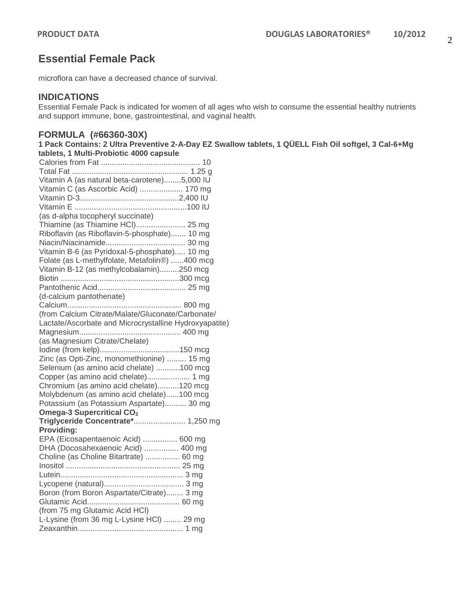## **Essential Female Pack**

microflora can have a decreased chance of survival.

## **INDICATIONS**

Essential Female Pack is indicated for women of all ages who wish to consume the essential healthy nutrients and support immune, bone, gastrointestinal, and vaginal health.

### **FORMULA (#66360-30X)**

**1 Pack Contains: 2 Ultra Preventive 2-A-Day EZ Swallow tablets, 1 QÜELL Fish Oil softgel, 3 Cal-6+Mg tablets, 1 Multi-Probiotic 4000 capsule**

| Vitamin A (as natural beta-carotene)5,000 IU           |
|--------------------------------------------------------|
| Vitamin C (as Ascorbic Acid)  170 mg                   |
|                                                        |
|                                                        |
| (as d-alpha tocopheryl succinate)                      |
| Thiamine (as Thiamine HCI) 25 mg                       |
| Riboflavin (as Riboflavin-5-phosphate) 10 mg           |
|                                                        |
| Vitamin B-6 (as Pyridoxal-5-phosphate) 10 mg           |
| Folate (as L-methylfolate, Metafolin®) 400 mcg         |
| Vitamin B-12 (as methylcobalamin)250 mcg               |
|                                                        |
|                                                        |
| (d-calcium pantothenate)                               |
|                                                        |
| (from Calcium Citrate/Malate/Gluconate/Carbonate/      |
| Lactate/Ascorbate and Microcrystalline Hydroxyapatite) |
|                                                        |
| (as Magnesium Citrate/Chelate)                         |
|                                                        |
| Zinc (as Opti-Zinc, monomethionine)  15 mg             |
| Selenium (as amino acid chelate) 100 mcg               |
| Copper (as amino acid chelate) 1 mg                    |
| Chromium (as amino acid chelate)120 mcg                |
| Molybdenum (as amino acid chelate)100 mcg              |
| Potassium (as Potassium Aspartate) 30 mg               |
| Omega-3 Supercritical CO <sub>2</sub>                  |
| Triglyceride Concentrate* 1,250 mg                     |
| Providing:                                             |
| EPA (Eicosapentaenoic Acid)  600 mg                    |
| DHA (Docosahexaenoic Acid)  400 mg                     |
| Choline (as Choline Bitartrate)  60 mg                 |
|                                                        |
|                                                        |
|                                                        |
| Boron (from Boron Aspartate/Citrate) 3 mg              |
|                                                        |
| (from 75 mg Glutamic Acid HCI)                         |
| L-Lysine (from 36 mg L-Lysine HCI)  29 mg              |
|                                                        |